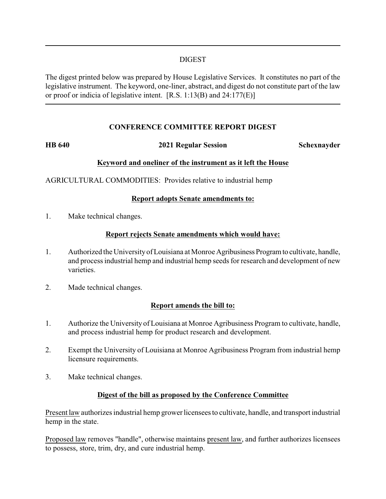## DIGEST

The digest printed below was prepared by House Legislative Services. It constitutes no part of the legislative instrument. The keyword, one-liner, abstract, and digest do not constitute part of the law or proof or indicia of legislative intent. [R.S. 1:13(B) and 24:177(E)]

## **CONFERENCE COMMITTEE REPORT DIGEST**

### **HB 640 2021 Regular Session Schexnayder**

# **Keyword and oneliner of the instrument as it left the House**

AGRICULTURAL COMMODITIES: Provides relative to industrial hemp

## **Report adopts Senate amendments to:**

1. Make technical changes.

## **Report rejects Senate amendments which would have:**

- 1. Authorized the Universityof Louisiana at Monroe Agribusiness Programto cultivate, handle, and process industrial hemp and industrial hemp seeds for research and development of new varieties.
- 2. Made technical changes.

## **Report amends the bill to:**

- 1. Authorize the University of Louisiana at Monroe Agribusiness Program to cultivate, handle, and process industrial hemp for product research and development.
- 2. Exempt the University of Louisiana at Monroe Agribusiness Program from industrial hemp licensure requirements.
- 3. Make technical changes.

## **Digest of the bill as proposed by the Conference Committee**

Present law authorizes industrial hemp grower licensees to cultivate, handle, and transport industrial hemp in the state.

Proposed law removes "handle", otherwise maintains present law, and further authorizes licensees to possess, store, trim, dry, and cure industrial hemp.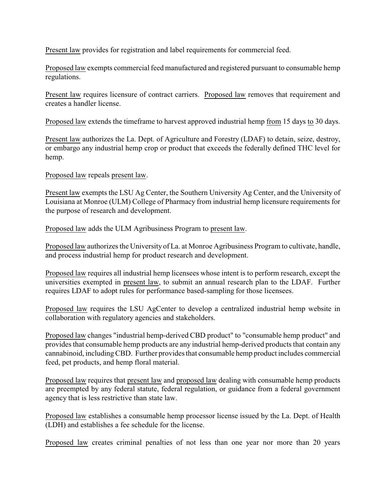Present law provides for registration and label requirements for commercial feed.

Proposed law exempts commercial feed manufactured and registered pursuant to consumable hemp regulations.

Present law requires licensure of contract carriers. Proposed law removes that requirement and creates a handler license.

Proposed law extends the timeframe to harvest approved industrial hemp from 15 days to 30 days.

Present law authorizes the La. Dept. of Agriculture and Forestry (LDAF) to detain, seize, destroy, or embargo any industrial hemp crop or product that exceeds the federally defined THC level for hemp.

Proposed law repeals present law.

Present law exempts the LSU Ag Center, the Southern University Ag Center, and the University of Louisiana at Monroe (ULM) College of Pharmacy from industrial hemp licensure requirements for the purpose of research and development.

Proposed law adds the ULM Agribusiness Program to present law.

Proposed law authorizes the University of La. at Monroe Agribusiness Program to cultivate, handle, and process industrial hemp for product research and development.

Proposed law requires all industrial hemp licensees whose intent is to perform research, except the universities exempted in present law, to submit an annual research plan to the LDAF. Further requires LDAF to adopt rules for performance based-sampling for those licensees.

Proposed law requires the LSU AgCenter to develop a centralized industrial hemp website in collaboration with regulatory agencies and stakeholders.

Proposed law changes "industrial hemp-derived CBD product" to "consumable hemp product" and provides that consumable hemp products are any industrial hemp-derived products that contain any cannabinoid, includingCBD. Further provides that consumable hemp product includes commercial feed, pet products, and hemp floral material.

Proposed law requires that present law and proposed law dealing with consumable hemp products are preempted by any federal statute, federal regulation, or guidance from a federal government agency that is less restrictive than state law.

Proposed law establishes a consumable hemp processor license issued by the La. Dept. of Health (LDH) and establishes a fee schedule for the license.

Proposed law creates criminal penalties of not less than one year nor more than 20 years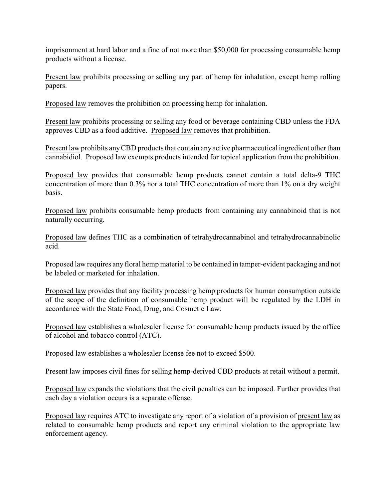imprisonment at hard labor and a fine of not more than \$50,000 for processing consumable hemp products without a license.

Present law prohibits processing or selling any part of hemp for inhalation, except hemp rolling papers.

Proposed law removes the prohibition on processing hemp for inhalation.

Present law prohibits processing or selling any food or beverage containing CBD unless the FDA approves CBD as a food additive. Proposed law removes that prohibition.

Present law prohibits anyCBD products that contain anyactive pharmaceutical ingredient other than cannabidiol. Proposed law exempts products intended for topical application from the prohibition.

Proposed law provides that consumable hemp products cannot contain a total delta-9 THC concentration of more than 0.3% nor a total THC concentration of more than 1% on a dry weight basis.

Proposed law prohibits consumable hemp products from containing any cannabinoid that is not naturally occurring.

Proposed law defines THC as a combination of tetrahydrocannabinol and tetrahydrocannabinolic acid.

Proposed law requires any floral hemp material to be contained in tamper-evident packaging and not be labeled or marketed for inhalation.

Proposed law provides that any facility processing hemp products for human consumption outside of the scope of the definition of consumable hemp product will be regulated by the LDH in accordance with the State Food, Drug, and Cosmetic Law.

Proposed law establishes a wholesaler license for consumable hemp products issued by the office of alcohol and tobacco control (ATC).

Proposed law establishes a wholesaler license fee not to exceed \$500.

Present law imposes civil fines for selling hemp-derived CBD products at retail without a permit.

Proposed law expands the violations that the civil penalties can be imposed. Further provides that each day a violation occurs is a separate offense.

Proposed law requires ATC to investigate any report of a violation of a provision of present law as related to consumable hemp products and report any criminal violation to the appropriate law enforcement agency.